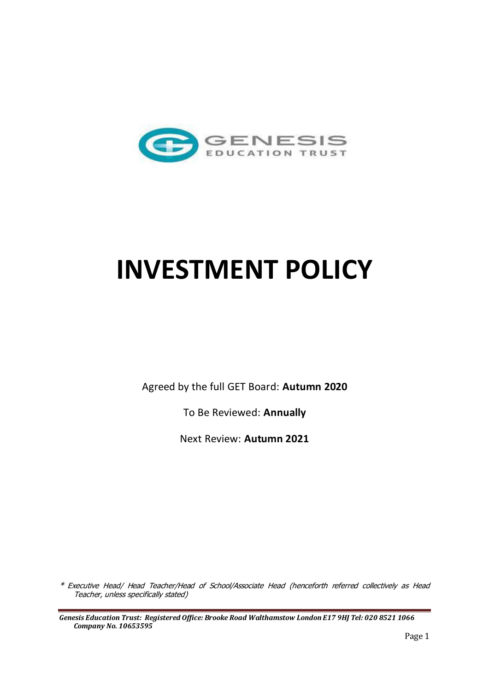

# **INVESTMENT POLICY**

Agreed by the full GET Board: **Autumn 2020**

To Be Reviewed: **Annually**

Next Review: **Autumn 2021** 

\* Executive Head/ Head Teacher/Head of School/Associate Head (henceforth referred collectively as Head Teacher, unless specifically stated)

*Genesis Education Trust: Registered Office: Brooke Road Walthamstow London E17 9HJ Tel: 020 8521 1066 Company No. 10653595*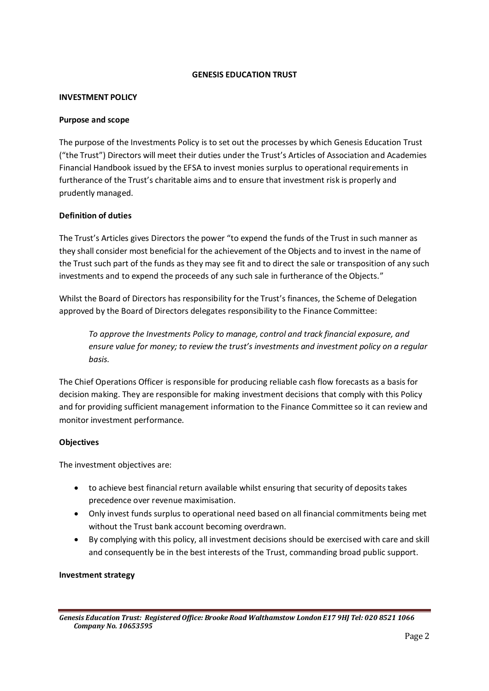## **GENESIS EDUCATION TRUST**

#### **INVESTMENT POLICY**

#### **Purpose and scope**

The purpose of the Investments Policy is to set out the processes by which Genesis Education Trust ("the Trust") Directors will meet their duties under the Trust's Articles of Association and Academies Financial Handbook issued by the EFSA to invest monies surplus to operational requirements in furtherance of the Trust's charitable aims and to ensure that investment risk is properly and prudently managed.

## **Definition of duties**

The Trust's Articles gives Directors the power "to expend the funds of the Trust in such manner as they shall consider most beneficial for the achievement of the Objects and to invest in the name of the Trust such part of the funds as they may see fit and to direct the sale or transposition of any such investments and to expend the proceeds of any such sale in furtherance of the Objects."

Whilst the Board of Directors has responsibility for the Trust's finances, the Scheme of Delegation approved by the Board of Directors delegates responsibility to the Finance Committee:

*To approve the Investments Policy to manage, control and track financial exposure, and ensure value for money; to review the trust's investments and investment policy on a regular basis.* 

The Chief Operations Officer is responsible for producing reliable cash flow forecasts as a basis for decision making. They are responsible for making investment decisions that comply with this Policy and for providing sufficient management information to the Finance Committee so it can review and monitor investment performance.

## **Objectives**

The investment objectives are:

- to achieve best financial return available whilst ensuring that security of deposits takes precedence over revenue maximisation.
- Only invest funds surplus to operational need based on all financial commitments being met without the Trust bank account becoming overdrawn.
- By complying with this policy, all investment decisions should be exercised with care and skill and consequently be in the best interests of the Trust, commanding broad public support.

#### **Investment strategy**

*Genesis Education Trust: Registered Office: Brooke Road Walthamstow London E17 9HJ Tel: 020 8521 1066 Company No. 10653595*